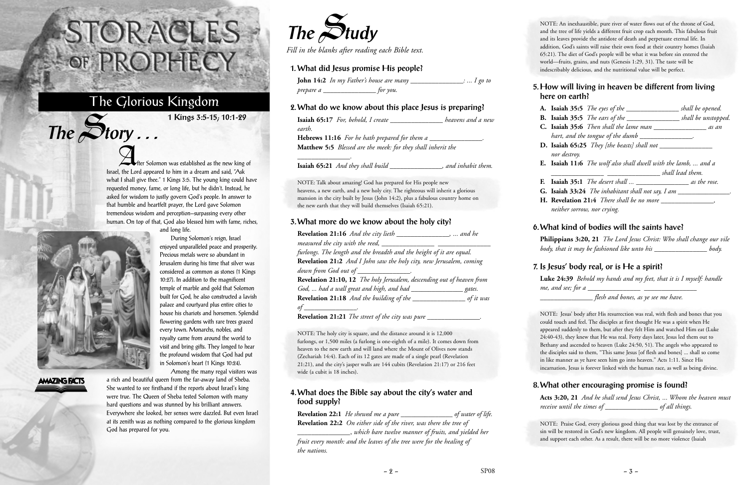After Solomon was established as the new king of Israel, the Lord appeared to him in a dream and said, "Ask what I shall give thee." 1 Kings 3:5. The young king could have requested money, fame, or long life, but he didn't. Instead, he asked for wisdom to justly govern God's people. In answer to that humble and heartfelt prayer, the Lord gave Solomon tremendous wisdom and perception—surpassing every other human. On top of that, God also blessed him with fame, riches, and long life.



 $The$  $S$ **tory** ...

## **AMAZING FACTS**

During Solomon's reign, Israel enjoyed unparalleled peace and prosperity. Precious metals were so abundant in Jerusalem during his time that silver was considered as common as stones (1 Kings 10:27). In addition to the magnificent temple of marble and gold that Solomon built for God, he also constructed a lavish palace and courtyard plus entire cities to house his chariots and horsemen. Splendid flowering gardens with rare trees graced every town. Monarchs, nobles, and royalty came from around the world to visit and bring gifts. They longed to hear the profound wisdom that God had put in Solomon's heart (1 Kings 10:24).

Among the many regal visitors was a rich and beautiful queen from the far-away land of Sheba. She wanted to see firsthand if the reports about Israel's king were true. The Queen of Sheba tested Solomon with many hard questions and was stunned by his brilliant answers. Everywhere she looked, her senses were dazzled. But even Israel at its zenith was as nothing compared to the glorious kingdom God has prepared for you.

# STORACLES -OF PROPHECY

# The Glorious Kingdom

**1 Kings 3:5-15; 10:1-29**



*Fill in the blanks after reading each Bible text.*

## **1. What did Jesus promise His people?**

|           | <b>John 14:2</b> In my Father's house are many | $\therefore$ I go to |
|-----------|------------------------------------------------|----------------------|
| prepare a | tor you.                                       |                      |

#### **2. What do we know about this place Jesus is preparing?**

| Isaiah 65:17 For, behold, I create                                  | heavens and a new   |
|---------------------------------------------------------------------|---------------------|
| earth.                                                              |                     |
| <b>Hebrews 11:16</b> For he hath prepared for them a                |                     |
| <b>Matthew 5:5</b> Blessed are the meek: for they shall inherit the |                     |
| <b>Isaiah 65:21</b> And they shall build                            | , and inhabit them. |

NOTE: Talk about amazing! God has prepared for His people new heavens, a new earth, and a new holy city. The righteous will inherit a glorious mansion in the city built by Jesus (John 14:2), plus a fabulous country home on the new earth that they will build themselves (Isaiah 65:21).

#### **3. What more do we know about the holy city?**

**Luke 24:39** *Behold my hands and my feet, that it is I myself: handle me, and see; for a* 

| Revelation 21:16 And the city lieth ________________,  and he           |  |
|-------------------------------------------------------------------------|--|
| measured the city with the reed, _____                                  |  |
| furlongs. The length and the breadth and the height of it are equal.    |  |
| Revelation 21:2 And I John saw the holy city, new Jerusalem, coming     |  |
| down from God out of _____________.                                     |  |
| Revelation 21:10, 12 The holy Jerusalem, descending out of heaven from  |  |
| God,  had a wall great and high, and had ___________________ gates.     |  |
| Revelation 21:18 And the building of the ____________________ of it was |  |
| of $\overline{\phantom{a}}$                                             |  |
| <b>Revelation 21:21</b> The street of the city was pure                 |  |

NOTE: The holy city is square, and the distance around it is 12,000 furlongs, or 1,500 miles (a furlong is one-eighth of a mile). It comes down from heaven to the new earth and will land where the Mount of Olives now stands (Zechariah 14:4). Each of its 12 gates are made of a single pearl (Revelation 21:21), and the city's jasper walls are 144 cubits (Revelation 21:17) or 216 feet wide (a cubit is 18 inches).

#### **4. What does the Bible say about the city's water and food supply?**

**Revelation 22:1** *He shewed me a pure \_\_\_\_\_\_\_\_\_\_\_\_\_\_\_ of water of life.* **Revelation 22:2** *On either side of the river, was there the tree of*

*\_\_\_\_\_\_\_\_\_\_\_\_\_\_\_*, *which bare twelve manner of fruits, and yielded her fruit every month: and the leaves of the tree were for the healing of the nations.*

NOTE: An inexhaustible, pure river of water flows out of the throne of God, and the tree of life yields a different fruit crop each month. This fabulous fruit and its leaves provide the antidote of death and perpetuate eternal life. In addition, God's saints will raise their own food at their country homes (Isaiah 65:21). The diet of God's people will be what it was before sin entered the world—fruits, grains, and nuts (Genesis 1:29, 31). The taste will be indescribably delicious, and the nutritional value will be perfect.

#### **5. How will living in heaven be different from living here on earth?**

|                  | <b>A.</b> Isaiah 35:5 The eyes of the $\_\_\_\_\_\_\_\_\_$ shall be opened.                  |  |
|------------------|----------------------------------------------------------------------------------------------|--|
|                  | <b>B.</b> Isaiah 35:5 <i>The ears of the</i> $\_\_\_\_\_\_\_\_\_$ shall be unstopped.        |  |
|                  | <b>C.</b> Isaiah 35:6 Then shall the lame man ___________________ as an                      |  |
|                  | hart, and the tongue of the dumb ______                                                      |  |
|                  | <b>D.</b> Isaiah 65:25 They [the beasts] shall not $\frac{1}{1}$                             |  |
| nor destroy.     |                                                                                              |  |
|                  | <b>E. Isaiah 11:6</b> The wolf also shall dwell with the lamb,  and a                        |  |
| shall lead them. |                                                                                              |  |
|                  |                                                                                              |  |
|                  | <b>F.</b> Isaiah 35:1 <i>The desert shall</i> $\_\_\_\_\_\_\_\_\_\_\_\_$ <i>as the rose.</i> |  |
|                  | <b>G.</b> Isaiah 33:24 The inhabitant shall not say, I am $\frac{1}{1}$                      |  |
|                  | <b>H. Revelation 21:4</b> There shall be no more $\frac{1}{1}$                               |  |

#### **6. What kind of bodies will the saints have?**

**Philippians 3:20, 21** *The Lord Jesus Christ: Who shall change our vile body, that it may be fashioned like unto his \_\_\_\_\_\_\_\_\_\_\_\_\_\_\_ body.*

#### **7. Is Jesus' body real, or is He a spirit?**

*\_\_\_\_\_\_\_\_\_\_\_\_\_\_\_ flesh and bones, as ye see me have.*

NOTE: Jesus' body after His resurrection was real, with flesh and bones that you could touch and feel. The disciples at first thought He was a spirit when He appeared suddenly to them, but after they felt Him and watched Him eat (Luke 24:40-43), they knew that He was real. Forty days later, Jesus led them out to Bethany and ascended to heaven (Luke 24:50, 51). The angels who appeared to the disciples said to them, "This same Jesus [of flesh and bones] ... shall so come in like manner as ye have seen him go into heaven." Acts 1:11. Since His incarnation, Jesus is forever linked with the human race, as well as being divine.

#### **8. What other encouraging promise is found?**

**Acts 3:20, 21** *And he shall send Jesus Christ, ... Whom the heaven must receive until the times of \_\_\_\_\_\_\_\_\_\_\_\_\_\_\_ of all things.*

NOTE: Praise God, every glorious good thing that was lost by the entrance of sin will be restored in God's new kingdom. All people will genuinely love, trust, and support each other. As a result, there will be no more violence (Isaiah